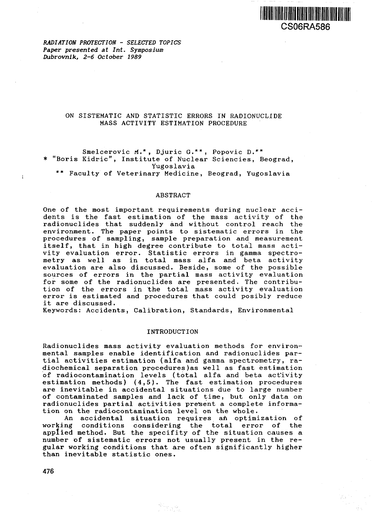

*RADIATION PROTECTION - SELECTED TOPICS Paper presented at Int. Symposium Dubrovnik, 2-6 October 1989*

# ON SISTEMATIC AND STATISTIC ERRORS IN RADIONUCLIDE MASS ACTIVITY ESTIMATION PROCEDURE

Smelcerovic M.\*, Djuric G.\*\*, Popovic D.\*\* \* "Boris Kidric", Institute of Nuclear Sciencies, Beograd, Yugoslavia \*\* Faculty of Veterinary Medicine, Beograd, Yugoslavia

### ABSTRACT

One of the most important requirements during nuclear accidents is the fast estimation of the mass activity of the radionuclides that suddenly and without control reach the environment. The paper points to sistematic errors in the procedures of sampling, sample preparation and measurement itself, that in high degree contribute to total mass activity evaluation error. Statistic errors in gamma spectrometry as well as in total mass alfa and beta activity evaluation are also discussed. Beside, some of the possible sources of errors in the partial mass activity evaluation for some of the radionuclides are presented. The contribution of the errors in the total mass activity evaluation error is estimated and procedures that could posibly reduce it are discussed.

Keywords: Accidents, Calibration, Standards, Environmental

## INTRODUCTION

Radionuclides mass activity evaluation methods for environmental samples enable identification and radionuclides partial activities estimation (alfa and gamma spectrometry, radiochemical separation procedures)as well as fast estimation of radiocontamination levels (total alfa and beta activity estimation methods) (4,5). The fast estimation procedures are inevitable in accidental situations due to large number of contaminated samples and lack of time, but only data on radionuclides partial activities present a complete information on the radiocontamination level on the whole.

An accidental situation requires an optimization of working conditions considering the total error of the applied method. But the specifity of the situation causes a number of sistematic errors not usually present in the regular working conditions that are often significantly higher than inevitable statistic ones.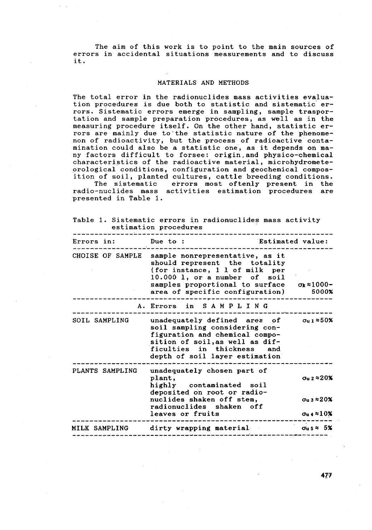The aim of this work is to point to the main sources of errors in accidental situations measurements and to discuss it.

### MATERIALS AND METHODS

The total error in the radionuclides mass activities evaluation procedures is due both to statistic and sistematic errors. Sistematic errors emerge in sampling, sample trasportation and sample preparation procedures, as well as in the measuring procedure itself. On the other hand, statistic errors are mainly due to'the statistic nature of the phenomenon of radioactivity, but the process of radioactive contamination could also be a statistic one, as it depends on many factors difficult to forsee: origin.and physico-chemical characteristics of the radioactive material, microhydrometeorological conditions, configuration and geochemical composition of soil, planted cultures, cattle breeding conditions.

The sistematic errors most oftenly present in the radio-nuclides mass activities estimation procedures are presented in Table 1.

|  |                       |  |  | Table 1. Sistematic errors in radionuclides mass activity |  |
|--|-----------------------|--|--|-----------------------------------------------------------|--|
|  | estimation procedures |  |  |                                                           |  |

| Errors in:           | Due to:<br><b>Estimated value:</b>                                                                                                                                                                          |                                                                |
|----------------------|-------------------------------------------------------------------------------------------------------------------------------------------------------------------------------------------------------------|----------------------------------------------------------------|
| CHOISE OF SAMPLE     | sample nonrepresentative, as it<br>should represent the totality<br>(for instance, 1 1 of milk per<br>$10.000$ 1, or a number of soil<br>samples proportional to surface<br>area of specific configuration) | $\sigma_{k}$ $\approx$ 1000-<br>5000%                          |
|                      | A. Errors in SAMPLING                                                                                                                                                                                       |                                                                |
| SOIL SAMPLING        | unadequately defined area of<br>soil sampling considering con-<br>figuration and chemical compo-<br>sition of soil, as well as dif-<br>ficulties in thickness and<br>depth of soil layer estimation         | σս 1 ≈50%                                                      |
| PLANTS SAMPLING      | unadequately chosen part of<br>plant,<br>highly contaminated soil<br>deposited on root or radio-                                                                                                            | $\sigma$ u 2 $\approx$ 20%                                     |
|                      | nuclides shaken off stem,<br>radionuclides shaken off<br>leaves or fruits                                                                                                                                   | $\sigma_{\rm u}$ 3 $\approx$ 20%<br>$\sigma$ u 4 $\approx$ 10% |
| <b>MILK SAMPLING</b> | dirty wrapping material                                                                                                                                                                                     | $\sigma_{\rm u}$ s $\approx$ 5%                                |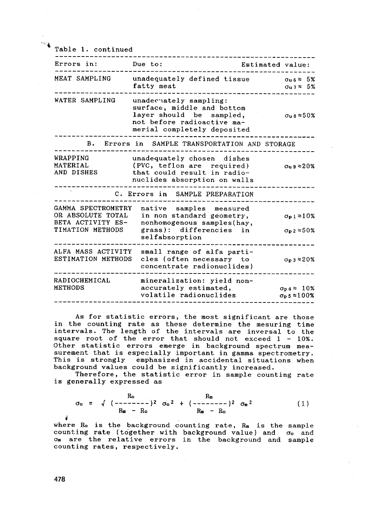Table 1. continued

| Errors in:                                                                       | Due to:                                                                                                                                       | Estimated value: |                                                                        |
|----------------------------------------------------------------------------------|-----------------------------------------------------------------------------------------------------------------------------------------------|------------------|------------------------------------------------------------------------|
| MEAT SAMPLING                                                                    | unadequately defined tissue<br>fatty meat                                                                                                     |                  | $\sigma$ u 6 $\approx$ 5%<br>$\sigma$ u 7 $\approx$ 5%                 |
| WATER SAMPLING                                                                   | unadecuately sampling:<br>surface, middle and bottom<br>layer should be sampled,<br>not before radioactive ma-<br>merial completely deposited |                  | $\sigma_{\rm u\,8}\approx 50\%$                                        |
| в.                                                                               | Errors in SAMPLE TRANSPORTATION AND STORAGE                                                                                                   |                  |                                                                        |
| WRAPPING<br>MATERIAL<br>AND DISHES                                               | unadequately chosen dishes<br>(PVC, teflon are required)<br>that could result in radio-<br>nuclides absorption on walls                       |                  | $\sigma_{\rm u}$ 9 $\approx$ 20%                                       |
|                                                                                  | C. Errors in SAMPLE PREPARATION                                                                                                               |                  |                                                                        |
| GAMMA SPECTROMETRY<br>OR ABSOLUTE TOTAL<br>BETA ACTIVITY ES-<br>TIMATION METHODS | native samples measured<br>in non standard geometry,<br>nonhomogenous samples(hay,<br>grass): differencies in<br>selfabsorption               |                  | $\sigma_{p1} \approx 10\%$<br>$\sigma_0$ 2 $\approx$ 50%               |
| ALFA MASS ACTIVITY<br>ESTIMATION METHODS                                         | small range of alfa parti-<br>cles (often necessary to<br>concentrate radionuclides)                                                          |                  | $\sigma_{\rm p}$ 3 $\approx$ 20%                                       |
| RADIOCHEMICAL<br><b>METHODS</b>                                                  | mineralization: yield non-<br>accurately estimated.<br>volatile radionuclides                                                                 |                  | $\sigma_{\texttt{n}}$ 4 $\approx$ 10%<br>$\sigma_{p}$ 5 $\approx$ 100% |

As for statistic errors, the most significant are those in the counting rate as these determine the mesuring time intervals. The length of the intervals are inversal to the square root of the error that should not exceed 1 - 10%. Other statistic errors emerge in background spectrum measurement that is especially important in gamma spectrometry. This is strongly emphasized in accidental situations when background values could be significantly increased.

Therefore, the statistic error in sample counting rate is generally expressed as

$$
\sigma_{u} = \sqrt{(- - - - - - - - - -)^{2}} \sigma_{o}^{2} + (- - - - - - - - -)^{2} \sigma_{m}^{2}
$$
\n
$$
R_{m} - R_{o}
$$
\n
$$
(1)
$$

where  $R_0$  is the background counting rate,  $R_m$  is the sample counting rate (together with background value) and  $\sigma_0$  and am are the relative errors in the background and sample counting rates, respectively.

i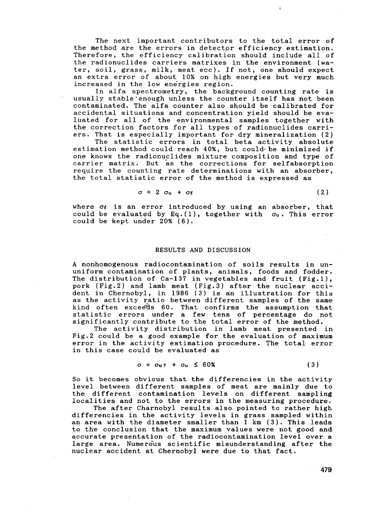The next important contributors to the total error of the method are the errors in detector efficiency estimation. Therefore, the efficiency calibration should include all of the radionuclides carriers matrixes in the environment (water, soil, grass, milk, meat ecc). If not, one should expect an extra error of about 10% on high energies but very much increased in the low energies region.

In alfa spectrometry, the background counting rate is usually stable'enough unless the counter itself has not been contaminated. The alfa counter also should be calibrated for accidental situations and concentration yield should be evaluated for all of the environmental samples together with the correction factors for all types of radionuclides carriers. That is especially important for dry mineralization (2)

The statistic errors in total beta activity absolute estimation method could reach 40%, but could- be minimized if one knows the radionuclides mixture composition and type of carrier matrix. But as the corrections for selfabsorption require the counting rate determinations with an absorber, the total statistic error of the method is expressed as

$$
\sigma \approx 2 \sigma_{\mathsf{u}} + \sigma_{\mathsf{f}} \tag{2}
$$

where  $\sigma_f$  is an error introduced by using an absorber, that could be evaluated by Eq.(1), together with  $\sigma_u$ . This error could be kept under 20% (6).

## RESULTS AND DISCUSSION

A nonhomogenous radiocontamination of soils results in ununiform contamination of plants, animals, foods and fodder. The distribution of Cs-137 in vegetables and fruit (Fig.l), pork (Fig.2) and lamb meat (Fig.3) after the nuclear accident in Chernobyl, in 1986 (3) is an illustration for this as the activity ratio between different samples of the same kind often exceeds 60. That confirms the assumption that statistic errors under a few tens of percentage do not significantly contribute to the total error of the method.

The activity distribution in lamb meat presented in Fig.2 could be a good example for the evaluation of maximum error in the activity estimation procedure. The total error in this case could be evaluated as

#### $\sigma = \sigma_{u} \gamma + \sigma_{u} \leq 60\%$  (3)

So it becomes obvious that the differencies in the activity level between different samples of meat are mainly due to the different contamination levels on different sampling localities and not to the errors in the measuring procedure.

The after Charnobyl results also pointed to rather high differencies in the activity levels in grass sampled within an area with the diameter smaller than 1 km (3). This leads to the conclusion that the maximum values were not good and accurate presentation of the radiocontamination level over a large area. Numerous scientific misunderstanding after the nuclear accident at Chernobyl were due to that fact.

479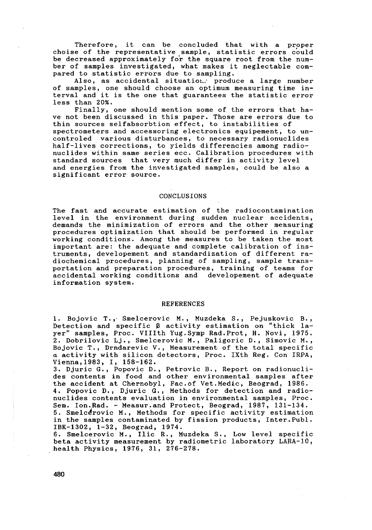Therefore, it can be concluded that with a proper choise of the representative sample, statistic errors could be decreased approximately for the square root from the number of samples investigated, what makes it neglectable compared to statistic errors due to sampling.

Also, as accidental situation." produce a large number of samples, one should choose an optimum measuring time interval and it is the one that guarantees the statistic error less than 20%.

Finally, one should mention some of the errors that have not been discussed in this paper. Those are errors due to thin sources selfabsorbtion effect, to instabilities of spectrometers and accessoring electronics equipement, to uncontroled various disturbances, to necessary radionuclides half-lives corrections, to yields differencies among radionuclides within same series ecc. Calibration procedures with standard sources that very much differ in activity level and energies from the investigated samples, could be also a significant error source.

#### CONCLUSIONS

The fast and accurate estimation of the radiocontamination level in the environment during sudden nuclear accidents, demands the minimization of errors and the other measuring procedures optimization that should be performed in regular working conditions. Among the measures to be taken the most important are: the adequate and complete calibration of instruments, developement and standardization of different radiochemical procedures, planning of sampling, sample transportation and preparation procedures, training of teams for accidental working conditions and developement of adequate information system.

#### REFERENCES

1. Bojovic T., Smelcerovic M., Muzdeka S., Pejuskovic B., Detection and specific B activity estimation on "thick layer" samples, Proc. Vlllth Yug.Symp Rad.Prot, H. Novi, 1975. 2. Dobrilovic Lj., Smelcerovic M., Paligoric D., Simovic M., Bojovic T., Drndarevic V., Measurement of the total specific a activity with silicon detectors, Proc. IXth Reg. Con IRPA, Vienna,1983, I, 158-162.

3. Djuric G., Popovic D., Petrovic B., Report on radionuclides contents in food and other environmental samples after the accident at Chernobyl, Fac.of Vet.Medic, Beograd, 1986. 4. Popovic D., Djuric G., Methods for detection and radionuclides contents evaluation in environmental samples, Proc. Sem. Ion.Rad. - Measur.and Protect, Beograd, 1987, 131-134. 5. Smelcerovic M., Methods for specific activity estimation in the samples contaminated by fission products, Inter.Publ. IBK-1302, 1-32, Beograd, 1974.

6. Smelcerovic M., Ilic R., Muzdeka S., Low level specific beta activity measurement by radiometric laboratory LARA-10, health Physics, 1976, 31, 276-278.